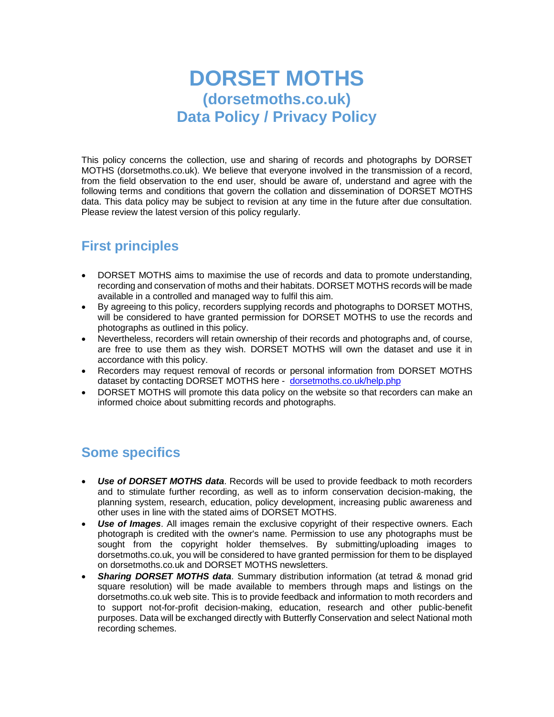# **DORSET MOTHS (dorsetmoths.co.uk) Data Policy / Privacy Policy**

This policy concerns the collection, use and sharing of records and photographs by DORSET MOTHS (dorsetmoths.co.uk). We believe that everyone involved in the transmission of a record, from the field observation to the end user, should be aware of, understand and agree with the following terms and conditions that govern the collation and dissemination of DORSET MOTHS data. This data policy may be subject to revision at any time in the future after due consultation. Please review the latest version of this policy regularly.

### **First principles**

- DORSET MOTHS aims to maximise the use of records and data to promote understanding, recording and conservation of moths and their habitats. DORSET MOTHS records will be made available in a controlled and managed way to fulfil this aim.
- By agreeing to this policy, recorders supplying records and photographs to DORSET MOTHS, will be considered to have granted permission for DORSET MOTHS to use the records and photographs as outlined in this policy.
- Nevertheless, recorders will retain ownership of their records and photographs and, of course, are free to use them as they wish. DORSET MOTHS will own the dataset and use it in accordance with this policy.
- Recorders may request removal of records or personal information from DORSET MOTHS dataset by contacting DORSET MOTHS here - [dorsetmoths.co.uk/help.php](https://suffolkmoths.co.uk/help.php)
- DORSET MOTHS will promote this data policy on the website so that recorders can make an informed choice about submitting records and photographs.

### **Some specifics**

- *Use of DORSET MOTHS data*. Records will be used to provide feedback to moth recorders and to stimulate further recording, as well as to inform conservation decision-making, the planning system, research, education, policy development, increasing public awareness and other uses in line with the stated aims of DORSET MOTHS.
- *Use of Images*. All images remain the exclusive copyright of their respective owners. Each photograph is credited with the owner's name. Permission to use any photographs must be sought from the copyright holder themselves. By submitting/uploading images to dorsetmoths.co.uk, you will be considered to have granted permission for them to be displayed on dorsetmoths.co.uk and DORSET MOTHS newsletters.
- *Sharing DORSET MOTHS data*. Summary distribution information (at tetrad & monad grid square resolution) will be made available to members through maps and listings on the dorsetmoths.co.uk web site. This is to provide feedback and information to moth recorders and to support not-for-profit decision-making, education, research and other public-benefit purposes. Data will be exchanged directly with Butterfly Conservation and select National moth recording schemes.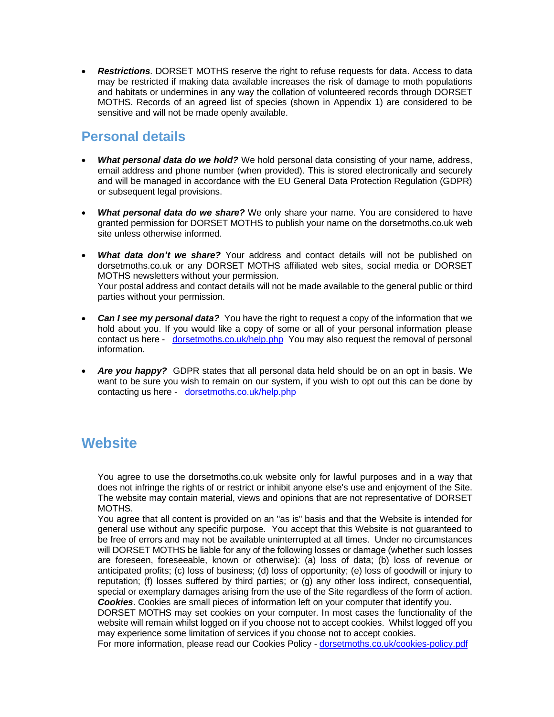• *Restrictions*. DORSET MOTHS reserve the right to refuse requests for data. Access to data may be restricted if making data available increases the risk of damage to moth populations and habitats or undermines in any way the collation of volunteered records through DORSET MOTHS. Records of an agreed list of species (shown in Appendix 1) are considered to be sensitive and will not be made openly available.

#### **Personal details**

- *What personal data do we hold?* We hold personal data consisting of your name, address, email address and phone number (when provided). This is stored electronically and securely and will be managed in accordance with the EU General Data Protection Regulation (GDPR) or subsequent legal provisions.
- *What personal data do we share?* We only share your name. You are considered to have granted permission for DORSET MOTHS to publish your name on the dorsetmoths.co.uk web site unless otherwise informed.
- **What data don't we share?** Your address and contact details will not be published on dorsetmoths.co.uk or any DORSET MOTHS affiliated web sites, social media or DORSET MOTHS newsletters without your permission. Your postal address and contact details will not be made available to the general public or third parties without your permission.
- **Can I see my personal data?** You have the right to request a copy of the information that we hold about you. If you would like a copy of some or all of your personal information please contact us here - [dorsetmoths.co.uk/help.php](https://suffolkmoths.co.uk/help.php) You may also request the removal of personal information.
- *Are you happy?* GDPR states that all personal data held should be on an opt in basis. We want to be sure you wish to remain on our system, if you wish to opt out this can be done by contacting us here - [dorsetmoths.co.uk/help.php](https://suffolkmoths.co.uk/help.php)

## **Website**

You agree to use the dorsetmoths.co.uk website only for lawful purposes and in a way that does not infringe the rights of or restrict or inhibit anyone else's use and enjoyment of the Site. The website may contain material, views and opinions that are not representative of DORSET MOTHS.

You agree that all content is provided on an "as is" basis and that the Website is intended for general use without any specific purpose. You accept that this Website is not guaranteed to be free of errors and may not be available uninterrupted at all times. Under no circumstances will DORSET MOTHS be liable for any of the following losses or damage (whether such losses are foreseen, foreseeable, known or otherwise): (a) loss of data; (b) loss of revenue or anticipated profits; (c) loss of business; (d) loss of opportunity; (e) loss of goodwill or injury to reputation; (f) losses suffered by third parties; or (g) any other loss indirect, consequential, special or exemplary damages arising from the use of the Site regardless of the form of action. *Cookies*. Cookies are small pieces of information left on your computer that identify you.

DORSET MOTHS may set cookies on your computer. In most cases the functionality of the website will remain whilst logged on if you choose not to accept cookies. Whilst logged off you may experience some limitation of services if you choose not to accept cookies.

For more information, please read our Cookies Policy - [dorsetmoths.co.uk/cookies-policy.pdf](https://suffolkmoths.co.uk/cookies-policy.pdf)